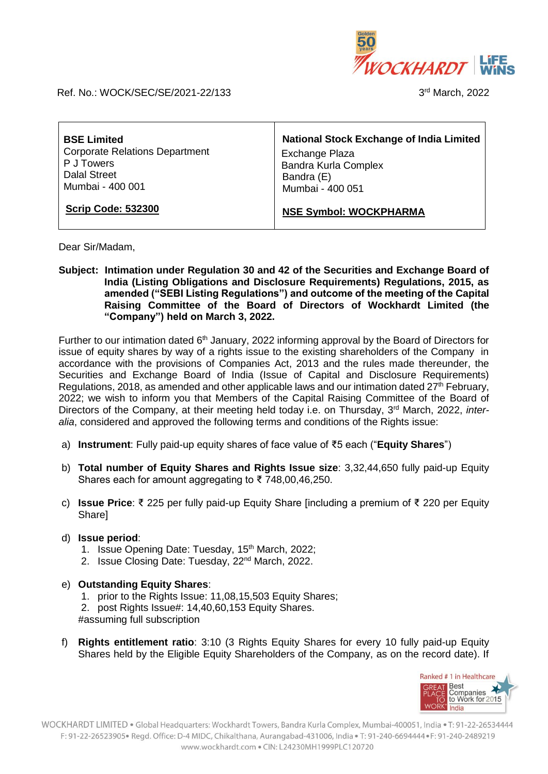

Ref. No.: WOCK/SEC/SE/2021-22/133

3rd March, 2022

| <b>BSE Limited</b>                    | <b>National Stock Exchange of India Limited</b> |
|---------------------------------------|-------------------------------------------------|
| <b>Corporate Relations Department</b> | Exchange Plaza                                  |
| P J Towers                            | <b>Bandra Kurla Complex</b>                     |
| <b>Dalal Street</b>                   | Bandra (E)                                      |
| Mumbai - 400 001                      | Mumbai - 400 051                                |
| <b>Scrip Code: 532300</b>             | <b>NSE Symbol: WOCKPHARMA</b>                   |

Dear Sir/Madam,

**Subject: Intimation under Regulation 30 and 42 of the Securities and Exchange Board of India (Listing Obligations and Disclosure Requirements) Regulations, 2015, as amended ("SEBI Listing Regulations") and outcome of the meeting of the Capital Raising Committee of the Board of Directors of Wockhardt Limited (the "Company") held on March 3, 2022.**

Further to our intimation dated 6<sup>th</sup> January, 2022 informing approval by the Board of Directors for issue of equity shares by way of a rights issue to the existing shareholders of the Company in accordance with the provisions of Companies Act, 2013 and the rules made thereunder, the Securities and Exchange Board of India (Issue of Capital and Disclosure Requirements) Regulations, 2018, as amended and other applicable laws and our intimation dated  $27<sup>th</sup>$  February, 2022; we wish to inform you that Members of the Capital Raising Committee of the Board of Directors of the Company, at their meeting held today i.e. on Thursday, 3<sup>rd</sup> March, 2022, *interalia*, considered and approved the following terms and conditions of the Rights issue:

- a) **Instrument**: Fully paid-up equity shares of face value of ₹5 each ("**Equity Shares**")
- b) **Total number of Equity Shares and Rights Issue size**: 3,32,44,650 fully paid-up Equity Shares each for amount aggregating to  $\overline{5}$  748,00,46,250.
- c) **Issue Price**: ₹ 225 per fully paid-up Equity Share [including a premium of ₹ 220 per Equity Share]
- d) **Issue period**:
	- 1. Issue Opening Date: Tuesday, 15<sup>th</sup> March, 2022;
	- 2. Issue Closing Date: Tuesday, 22<sup>nd</sup> March, 2022.
- e) **Outstanding Equity Shares**:
	- 1. prior to the Rights Issue: 11,08,15,503 Equity Shares;
	- 2. post Rights Issue#: 14,40,60,153 Equity Shares.
	- #assuming full subscription
- f) **Rights entitlement ratio**: 3:10 (3 Rights Equity Shares for every 10 fully paid-up Equity Shares held by the Eligible Equity Shareholders of the Company, as on the record date). If